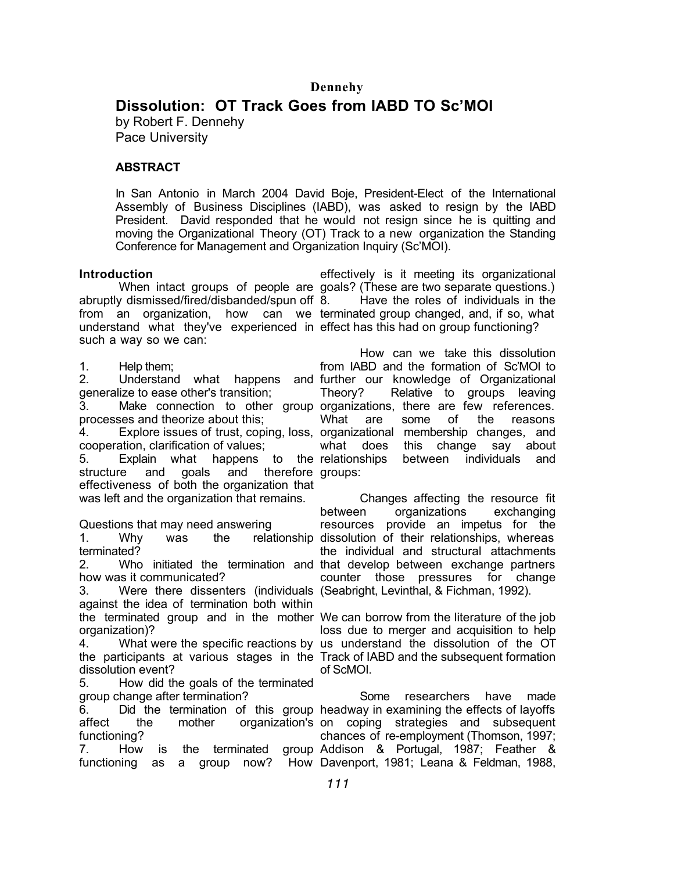# **Dissolution: OT Track Goes from IABD TO Sc'MOI**

by Robert F. Dennehy Pace University

# **ABSTRACT**

In San Antonio in March 2004 David Boje, President-Elect of the International Assembly of Business Disciplines (IABD), was asked to resign by the IABD President. David responded that he would not resign since he is quitting and moving the Organizational Theory (OT) Track to a new organization the Standing Conference for Management and Organization Inquiry (Sc'MOI).

### **Introduction**

abruptly dismissed/fired/disbanded/spun off from an organization, how can we terminated group changed, and, if so, what understand what they've experienced in effect has this had on group functioning? such a way so we can:

1. Help them;

2. Understand what happens and further our knowledge of Organizational generalize to ease other's transition;

3. Make connection to other group organizations, there are few references. processes and theorize about this;

cooperation, clarification of values;

5. Explain what happens to the structure and goals and therefore groups: effectiveness of both the organization that was left and the organization that remains.

Questions that may need answering 1. Why was the relationship dissolution of their relationships, whereas terminated?

2. Who initiated the termination and that develop between exchange partners how was it communicated?

3. Were there dissenters (individuals (Seabright, Levinthal, & Fichman, 1992). against the idea of termination both within the terminated group and in the mother We can borrow from the literature of the job organization)?

4. What were the specific reactions by us understand the dissolution of the OT the participants at various stages in the Track of IABD and the subsequent formation dissolution event?

5. How did the goals of the terminated group change after termination?

6. Did the termination of this group headway in examining the effects of layoffs affect the mother organization's on coping strategies and subsequent functioning?

7. How is the terminated functioning as a group now? How Davenport, 1981; Leana & Feldman, 1988,

When intact groups of people are goals? (These are two separate questions.) effectively is it meeting its organizational Have the roles of individuals in the

4. Explore issues of trust, coping, loss, organizational membership changes, and How can we take this dissolution from IABD and the formation of Sc'MOI to Theory? Relative to groups leaving What are some of the reasons what does this change say about between individuals and

> Changes affecting the resource fit between organizations exchanging resources provide an impetus for the the individual and structural attachments counter those pressures for change

> loss due to merger and acquisition to help of ScMOI.

Some researchers have made chances of re-employment (Thomson, 1997; Addison & Portugal, 1987; Feather &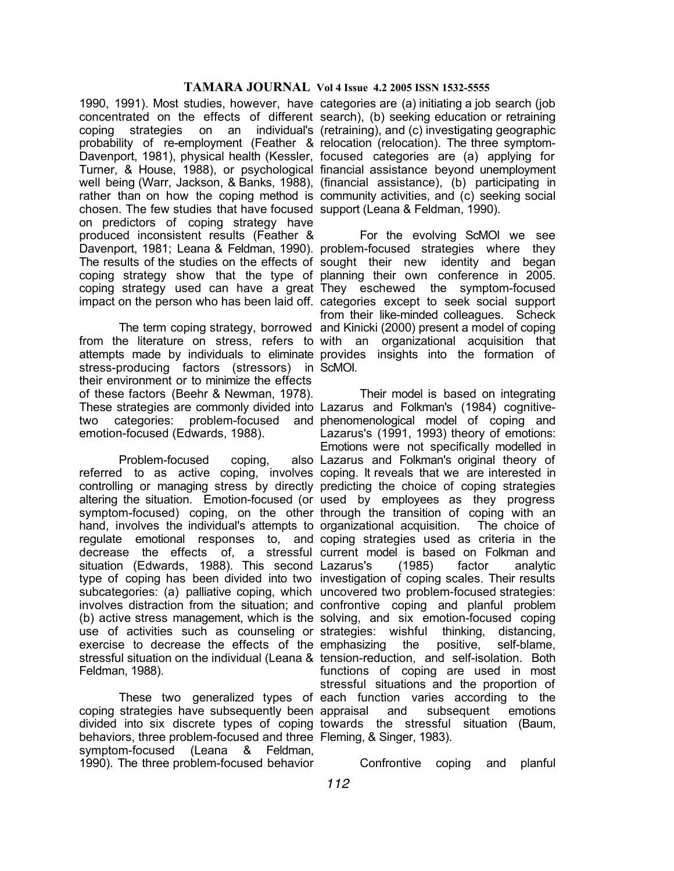1990, 1991). Most studies, however, have categories are (a) initiating a job search (job concentrated on the effects of different search), (b) seeking education or retraining coping strategies on an individual's (retraining), and (c) investigating geographic probability of re-employment (Feather & relocation (relocation). The three symptom-Davenport, 1981), physical health (Kessler, focused categories are (a) applying for Turner, & House, 1988), or psychological financial assistance beyond unemployment well being (Warr, Jackson, & Banks, 1988), (financial assistance), (b) participating in rather than on how the coping method is community activities, and (c) seeking social chosen. The few studies that have focused support (Leana & Feldman, 1990). on predictors of coping strategy have produced inconsistent results (Feather & Davenport, 1981; Leana & Feldman, 1990). problem-focused strategies where they The results of the studies on the effects of sought their new identity and began coping strategy show that the type of planning their own conference in 2005. coping strategy used can have a great They eschewed the symptom-focused impact on the person who has been laid off. categories except to seek social support

from the literature on stress, refers to with an organizational acquisition that attempts made by individuals to eliminate provides insights into the formation of stress-producing factors (stressors) in ScMOI. their environment or to minimize the effects of these factors (Beehr & Newman, 1978). These strategies are commonly divided into Lazarus and Folkman's (1984) cognitivetwo categories: problem-focused and phenomenological model of coping and emotion-focused (Edwards, 1988).

Problem-focused coping, referred to as active coping, involves coping. It reveals that we are interested in controlling or managing stress by directly predicting the choice of coping strategies altering the situation. Emotion-focused (or used by employees as they progress symptom-focused) coping, on the other through the transition of coping with an hand, involves the individual's attempts to organizational acquisition. The choice of regulate emotional responses to, and coping strategies used as criteria in the decrease the effects of, a stressful current model is based on Folkman and situation (Edwards, 1988). This second Lazarus's (1985) factor analytic type of coping has been divided into two investigation of coping scales. Their results subcategories: (a) palliative coping, which uncovered two problem-focused strategies: involves distraction from the situation; and confrontive coping and planful problem (b) active stress management, which is the solving, and six emotion-focused coping use of activities such as counseling or strategies: wishful thinking, distancing, exercise to decrease the effects of the emphasizing the positive, self-blame, stressful situation on the individual (Leana & tension-reduction, and self-isolation. Both Feldman, 1988).

coping strategies have subsequently been divided into six discrete types of coping towards the stressful situation (Baum, behaviors, three problem-focused and three Fleming, & Singer, 1983). symptom-focused (Leana & Feldman, 1990). The three problem-focused behavior

The term coping strategy, borrowed and Kinicki (2000) present a model of coping For the evolving ScMOI we see from their like-minded colleagues. Scheck

These two generalized types of each function varies according to the Their model is based on integrating Lazarus's (1991, 1993) theory of emotions: Emotions were not specifically modelled in also Lazarus and Folkman's original theory of functions of coping are used in most stressful situations and the proportion of and subsequent emotions

Confrontive coping and planful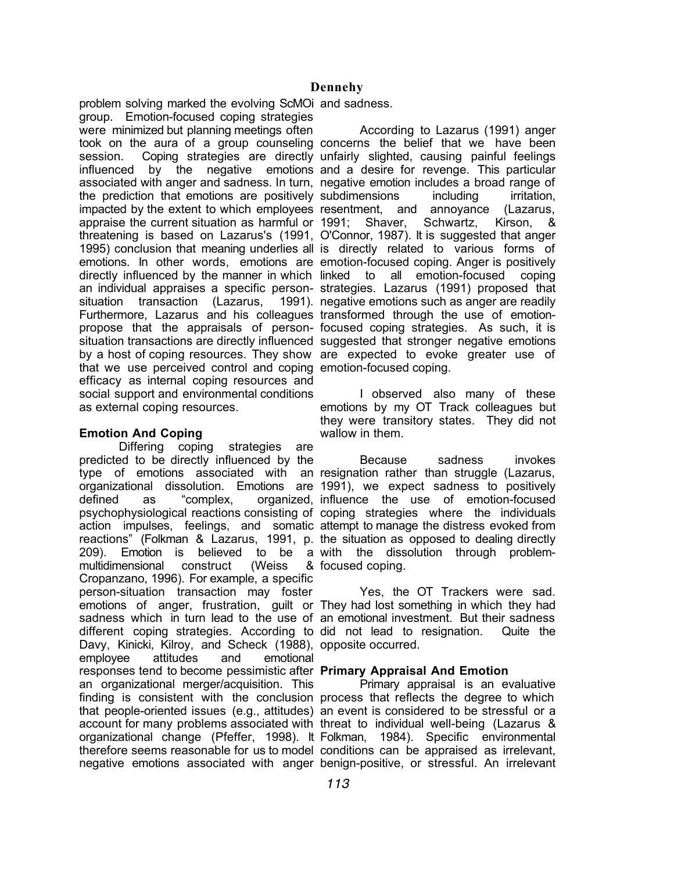problem solving marked the evolving ScMOi and sadness.

group. Emotion-focused coping strategies were minimized but planning meetings often took on the aura of a group counseling concerns the belief that we have been session. Coping strategies are directly unfairly slighted, causing painful feelings influenced by the negative emotions and a desire for revenge. This particular associated with anger and sadness. In turn, negative emotion includes a broad range of the prediction that emotions are positively subdimensions including irritation, impacted by the extent to which employees resentment, and annoyance (Lazarus, appraise the current situation as harmful or 1991; Shaver, Schwartz, Kirson, & threatening is based on Lazarus's (1991, O'Connor, 1987). It is suggested that anger 1995) conclusion that meaning underlies all is directly related to various forms of emotions. In other words, emotions are emotion-focused coping. Anger is positively directly influenced by the manner in which linked to all emotion-focused coping an individual appraises a specific person-strategies. Lazarus (1991) proposed that situation transaction (Lazarus, Furthermore, Lazarus and his colleagues transformed through the use of emotionpropose that the appraisals of person-focused coping strategies. As such, it is situation transactions are directly influenced suggested that stronger negative emotions by a host of coping resources. They show are expected to evoke greater use of that we use perceived control and coping emotion-focused coping. efficacy as internal coping resources and social support and environmental conditions as external coping resources.

## **Emotion And Coping**

Differing coping strategies are predicted to be directly influenced by the type of emotions associated with an resignation rather than struggle (Lazarus, organizational dissolution. Emotions are 1991), we expect sadness to positively defined as "complex, organized, influence the use of emotion-focused psychophysiological reactions consisting of coping strategies where the individuals action impulses, feelings, and somatic attempt to manage the distress evoked from reactions" (Folkman & Lazarus, 1991, p. the situation as opposed to dealing directly 209). Emotion is believed to be a with the dissolution through problemmultidimensional construct (Weiss & Cropanzano, 1996). For example, a specific person-situation transaction may foster emotions of anger, frustration, guilt or They had lost something in which they had sadness which in turn lead to the use of an emotional investment. But their sadness different coping strategies. According to did not lead to resignation. Quite the Davy, Kinicki, Kilroy, and Scheck (1988), opposite occurred. employee attitudes and emotional responses tend to become pessimistic after **Primary Appraisal And Emotion** an organizational merger/acquisition. This finding is consistent with the conclusion process that reflects the degree to which that people-oriented issues (e.g., attitudes) an event is considered to be stressful or a account for many problems associated with threat to individual well-being (Lazarus & organizational change (Pfeffer, 1998). It Folkman, 1984). Specific environmental therefore seems reasonable for us to model conditions can be appraised as irrelevant,

According to Lazarus (1991) anger 1991). negative emotions such as anger are readily

> I observed also many of these emotions by my OT Track colleagues but they were transitory states. They did not wallow in them.

Because sadness invokes & focused coping.

Yes, the OT Trackers were sad.

negative emotions associated with anger benign-positive, or stressful. An irrelevant Primary appraisal is an evaluative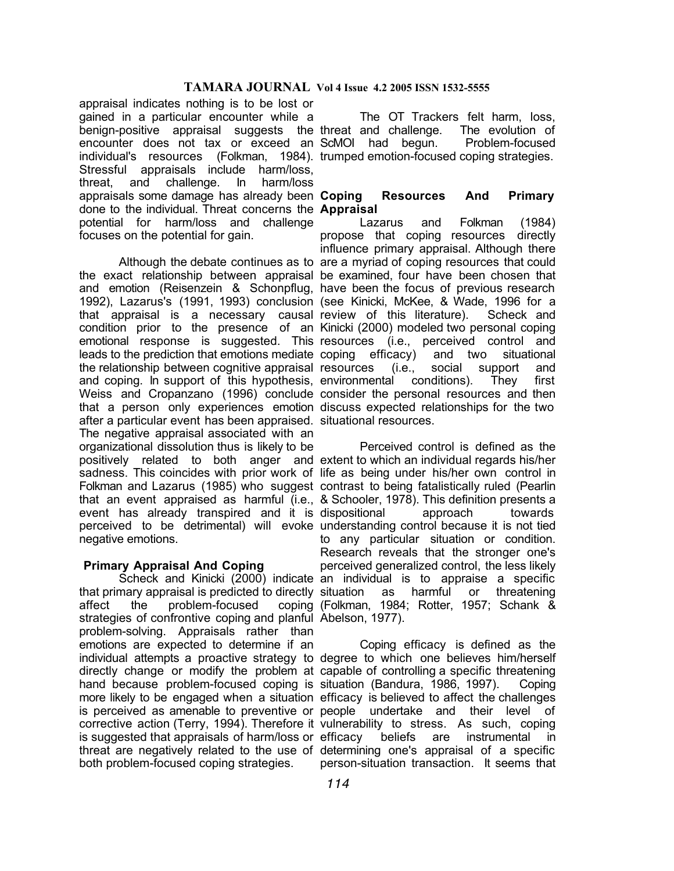appraisal indicates nothing is to be lost or gained in a particular encounter while a benign-positive appraisal suggests the threat and challenge. The evolution of encounter does not tax or exceed an ScMOI had begun. Problem-focused individual's resources (Folkman, 1984). trumped emotion-focused coping strategies. Stressful appraisals include harm/loss, threat, and challenge. In harm/loss appraisals some damage has already been Coping done to the individual. Threat concerns the **Appraisal** potential for harm/loss and challenge focuses on the potential for gain.

the exact relationship between appraisal be examined, four have been chosen that and emotion (Reisenzein & Schonpflug, have been the focus of previous research 1992), Lazarus's (1991, 1993) conclusion (see Kinicki, McKee, & Wade, 1996 for a that appraisal is a necessary causal-review of this literature). Scheck and condition prior to the presence of an Kinicki (2000) modeled two personal coping emotional response is suggested. This resources (i.e., perceived control and leads to the prediction that emotions mediate coping efficacy) and two situational the relationship between cognitive appraisal resources (i.e., social support and and coping. In support of this hypothesis, environmental conditions). They first Weiss and Cropanzano (1996) conclude consider the personal resources and then that a person only experiences emotion discuss expected relationships for the two after a particular event has been appraised. situational resources. The negative appraisal associated with an organizational dissolution thus is likely to be positively related to both anger and extent to which an individual regards his/her sadness. This coincides with prior work of life as being under his/her own control in Folkman and Lazarus (1985) who suggest contrast to being fatalistically ruled (Pearlin that an event appraised as harmful (i.e., & Schooler, 1978). This definition presents a event has already transpired and it is dispositional approach towards perceived to be detrimental) will evoke understanding control because it is not tied negative emotions.

### **Primary Appraisal And Coping**

that primary appraisal is predicted to directly situation as harmful or threatening affect the problem-focused strategies of confrontive coping and planful Abelson, 1977). problem-solving. Appraisals rather than emotions are expected to determine if an individual attempts a proactive strategy to degree to which one believes him/herself directly change or modify the problem at capable of controlling a specific threatening hand because problem-focused coping is situation (Bandura, 1986, 1997). Coping more likely to be engaged when a situation efficacy is believed to affect the challenges is perceived as amenable to preventive or people undertake and their level of corrective action (Terry, 1994). Therefore it vulnerability to stress. As such, coping is suggested that appraisals of harm/loss or efficacy beliefs are instrumental in threat are negatively related to the use of determining one's appraisal of a specific both problem-focused coping strategies.

The OT Trackers felt harm, loss,

# **Coping Resources And Primary**

Although the debate continues as to are a myriad of coping resources that could Lazarus and Folkman (1984) propose that coping resources directly influence primary appraisal. Although there

Scheck and Kinicki (2000) indicate an individual is to appraise a specific Perceived control is defined as the to any particular situation or condition. Research reveals that the stronger one's perceived generalized control, the less likely (Folkman, 1984; Rotter, 1957; Schank &

> Coping efficacy is defined as the person-situation transaction. It seems that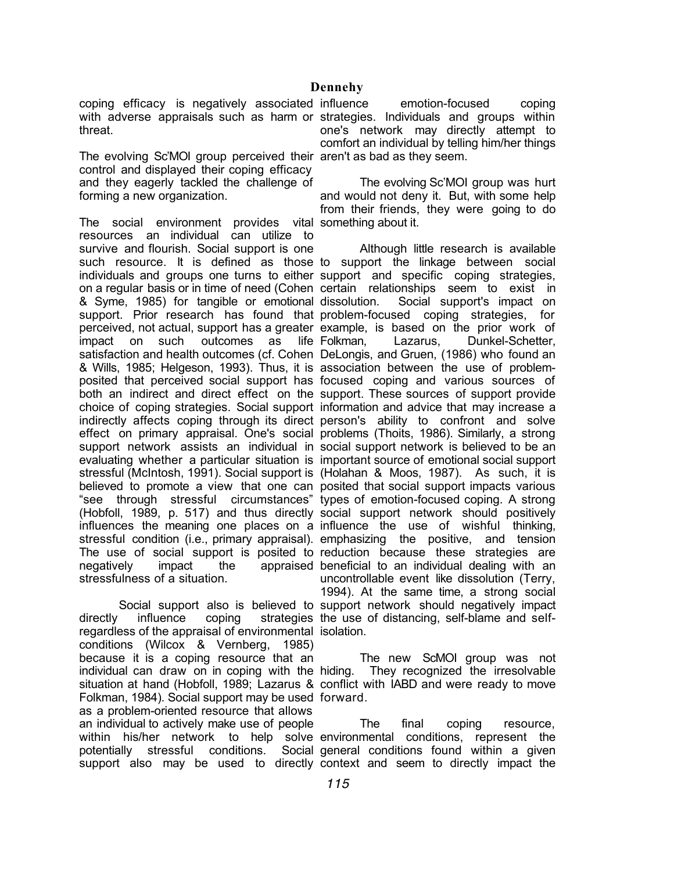coping efficacy is negatively associated with adverse appraisals such as harm or strategies. Individuals and groups within threat.

The evolving Sc'MOI group perceived their aren't as bad as they seem. control and displayed their coping efficacy and they eagerly tackled the challenge of forming a new organization.

The social environment provides vital something about it. resources an individual can utilize to survive and flourish. Social support is one such resource. It is defined as those to support the linkage between social individuals and groups one turns to either support and specific coping strategies, on a regular basis or in time of need (Cohen certain relationships seem to exist in & Syme, 1985) for tangible or emotional support. Prior research has found that problem-focused coping strategies, for perceived, not actual, support has a greater example, is based on the prior work of impact on such outcomes as life Folkman, satisfaction and health outcomes (cf. Cohen DeLongis, and Gruen, (1986) who found an & Wills, 1985; Helgeson, 1993). Thus, it is association between the use of problemposited that perceived social support has focused coping and various sources of both an indirect and direct effect on the support. These sources of support provide choice of coping strategies. Social support information and advice that may increase a indirectly affects coping through its direct person's ability to confront and solve effect on primary appraisal. One's social problems (Thoits, 1986). Similarly, a strong support network assists an individual in social support network is believed to be an evaluating whether a particular situation is important source of emotional social support stressful (McIntosh, 1991). Social support is (Holahan & Moos, 1987). As such, it is believed to promote a view that one can posited that social support impacts various "see through stressful circumstances" types of emotion-focused coping. A strong (Hobfoll, 1989, p. 517) and thus directly social support network should positively influences the meaning one places on a influence the use of wishful thinking, stressful condition (i.e., primary appraisal). emphasizing the positive, and tension The use of social support is posited to reduction because these strategies are negatively impact the appraised beneficial to an individual dealing with an stressfulness of a situation.

directly influence coping strategies the use of distancing, self-blame and selfregardless of the appraisal of environmental isolation. conditions (Wilcox & Vernberg, 1985) because it is a coping resource that an individual can draw on in coping with the hiding. They recognized the irresolvable situation at hand (Hobfoll, 1989; Lazarus & conflict with IABD and were ready to move Folkman, 1984). Social support may be used forward. as a problem-oriented resource that allows an individual to actively make use of people within his/her network to help solve environmental conditions, represent the potentially stressful conditions. Social general conditions found within a given

emotion-focused coping one's network may directly attempt to comfort an individual by telling him/her things

The evolving Sc'MOI group was hurt and would not deny it. But, with some help from their friends, they were going to do

Social support also is believed to support network should negatively impact Although little research is available Social support's impact on Lazarus, Dunkel-Schetter, uncontrollable event like dissolution (Terry, 1994). At the same time, a strong social

The new ScMOI group was not

support also may be used to directly context and seem to directly impact the The final coping resource,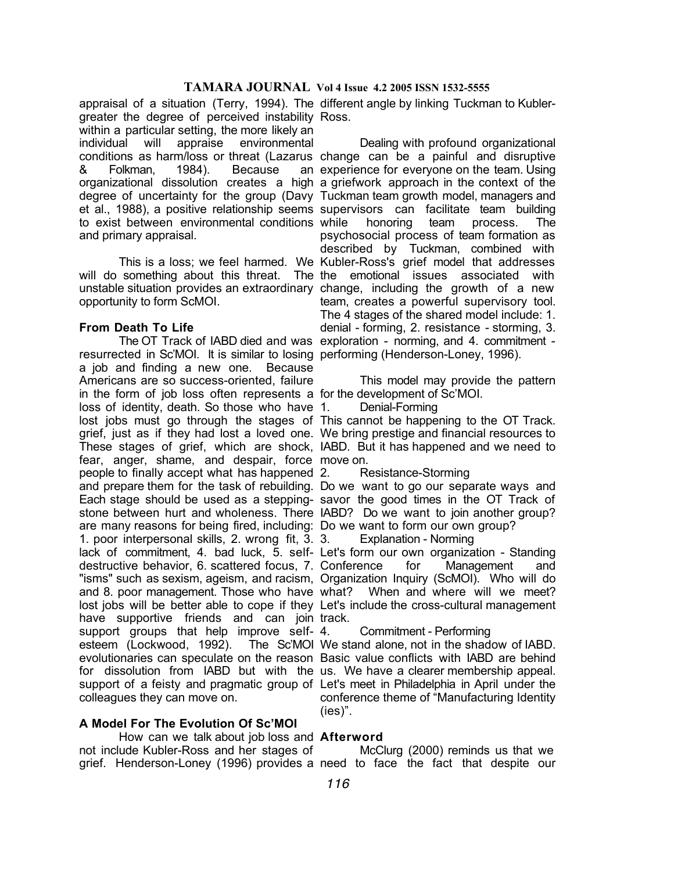greater the degree of perceived instability Ross. within a particular setting, the more likely an individual will appraise environmental conditions as harm/loss or threat (Lazarus change can be a painful and disruptive & Folkman, 1984). Because organizational dissolution creates a high a griefwork approach in the context of the degree of uncertainty for the group (Davy Tuckman team growth model, managers and et al., 1988), a positive relationship seems supervisors can facilitate team building to exist between environmental conditions and primary appraisal.

will do something about this threat. The the emotional issues associated with unstable situation provides an extraordinary change, including the growth of a new opportunity to form ScMOI.

### **From Death To Life**

resurrected in Sc'MOI. It is similar to losing performing (Henderson-Loney, 1996). a job and finding a new one. Because Americans are so success-oriented, failure in the form of job loss often represents a for the development of Sc'MOI. loss of identity, death. So those who have 1. lost jobs must go through the stages of This cannot be happening to the OT Track. grief, just as if they had lost a loved one. We bring prestige and financial resources to These stages of grief, which are shock, IABD. But it has happened and we need to fear, anger, shame, and despair, force move on. people to finally accept what has happened and prepare them for the task of rebuilding. Do we want to go our separate ways and Each stage should be used as a stepping-savor the good times in the OT Track of stone between hurt and wholeness. There IABD? Do we want to join another group? are many reasons for being fired, including: Do we want to form our own group? 1. poor interpersonal skills, 2. wrong fit, 3. lack of commitment, 4. bad luck, 5. self-Let's form our own organization - Standing destructive behavior, 6. scattered focus, 7. Conference for Management and "isms" such as sexism, ageism, and racism, Organization Inquiry (ScMOI). Who will do and 8. poor management. Those who have what? When and where will we meet? lost jobs will be better able to cope if they Let's include the cross-cultural management have supportive friends and can join-track. support groups that help improve self-4. esteem (Lockwood, 1992). evolutionaries can speculate on the reason Basic value conflicts with IABD are behind for dissolution from IABD but with the us. We have a clearer membership appeal. support of a feisty and pragmatic group of Let's meet in Philadelphia in April under the colleagues they can move on.

### **A Model For The Evolution Of Sc'MOI**

How can we talk about job loss and **Afterword** not include Kubler-Ross and her stages of

appraisal of a situation (Terry, 1994). The different angle by linking Tuckman to Kubler-

This is a loss; we feel harmed. We Kubler-Ross's grief model that addresses The OT Track of IABD died and was exploration - norming, and 4. commitment - Dealing with profound organizational an experience for everyone on the team. Using honoring team process. The psychosocial process of team formation as described by Tuckman, combined with team, creates a powerful supervisory tool. The 4 stages of the shared model include: 1. denial - forming, 2. resistance - storming, 3.

This model may provide the pattern

Denial-Forming

2. Resistance-Storming

Explanation - Norming

4. Commitment - Performing

The Sc'MOI We stand alone, not in the shadow of IABD. conference theme of "Manufacturing Identity (ies)".

grief. Henderson-Loney (1996) provides a need to face the fact that despite our McClurg (2000) reminds us that we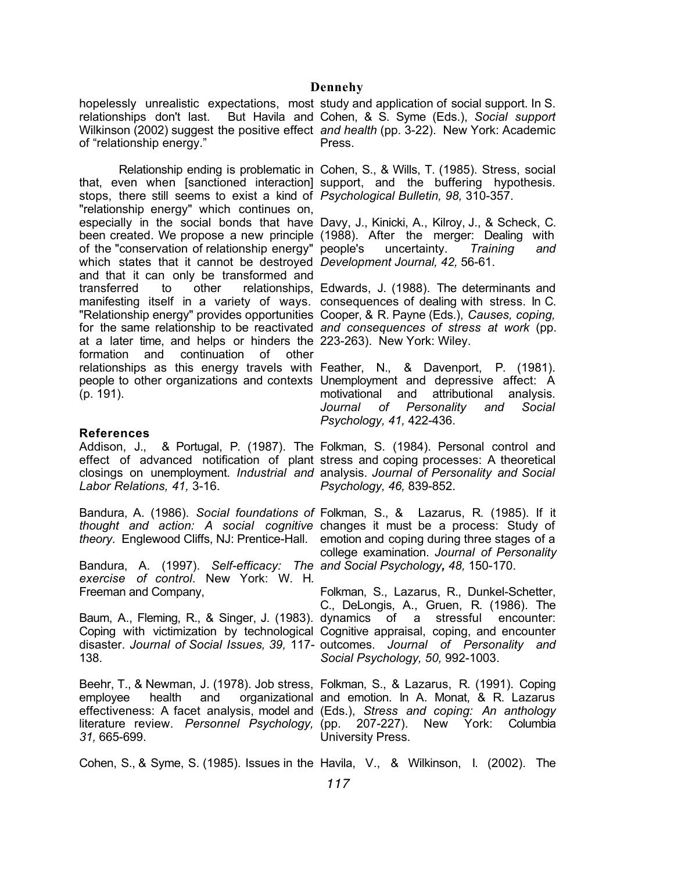hopelessly unrealistic expectations, most study and application of social support. In S. relationships don't last. Wilkinson (2002) suggest the positive effect *and health* (pp. 3-22). New York: Academic of "relationship energy."

that, even when [sanctioned interaction] support, and the buffering hypothesis. stops, there still seems to exist a kind of *Psychological Bulletin, 98,* 310-357. "relationship energy" which continues on, especially in the social bonds that have Davy, J., Kinicki, A., Kilroy, J., & Scheck, C. been created. We propose a new principle (1988). After the merger: Dealing with of the "conservation of relationship energy" which states that it cannot be destroyed and that it can only be transformed and transferred to other relationships, Edwards, J. (1988). The determinants and manifesting itself in a variety of ways. consequences of dealing with stress. In C. "Relationship energy" provides opportunities Cooper, & R. Payne (Eds.), *Causes, coping,*  for the same relationship to be reactivated *and consequences of stress at work* (pp. at a later time, and helps or hinders the 223-263). New York: Wiley. formation and continuation of other relationships as this energy travels with Feather, N., & Davenport, P. (1981). people to other organizations and contexts Unemployment and depressive affect: A (p. 191).

### **References**

*Labor Relations, 41,* 3-16.

Bandura, A. (1986). *Social foundations of*  Folkman, S., & Lazarus, R. (1985). If it

Bandura, A. (1997). *Self-efficacy: The and Social Psychology, 48,* 150-170. *exercise of control*. New York: W. H. Freeman and Company,

138.

effectiveness: A facet analysis, model and (Eds.), *Stress and coping: An anthology* literature review. *Personnel Psychology, 31,* 665-699.

But Havila and Cohen, & S. Syme (Eds.), *Social support* Press.

Relationship ending is problematic in Cohen, S., & Wills, T. (1985). Stress, social

people's uncertainty. *Training and Development Journal, 42,* 56-61.

motivational and attributional analysis*. Journal of Personality and Social Psychology, 41,* 422-436.

Addison, J., & Portugal, P. (1987). The Folkman, S. (1984). Personal control and effect of advanced notification of plant stress and coping processes: A theoretical closings on unemployment. *Industrial and*  analysis. *Journal of Personality and Social Psychology, 46,* 839-852.

thought and action: A social cognitive changes it must be a process: Study of *theory*. Englewood Cliffs, NJ: Prentice-Hall. emotion and coping during three stages of a college examination. *Journal of Personality* 

Baum, A., Fleming, R., & Singer, J. (1983). dynamics of a stressful encounter: Coping with victimization by technological Cognitive appraisal, coping, and encounter disaster. *Journal of Social Issues, 39,* 117- outcomes. *Journal of Personality and*  Folkman, S., Lazarus, R., Dunkel-Schetter, C., DeLongis, A., Gruen, R. (1986). The *Social Psychology, 50,* 992-1003.

Beehr, T., & Newman, J. (1978). Job stress, Folkman, S., & Lazarus, R. (1991). Coping employee health and organizational and emotion. In A. Monat, & R. Lazarus (pp. 207-227). New York: Columbia University Press.

Cohen, S., & Syme, S. (1985). Issues in the Havila, V., & Wilkinson, I. (2002). The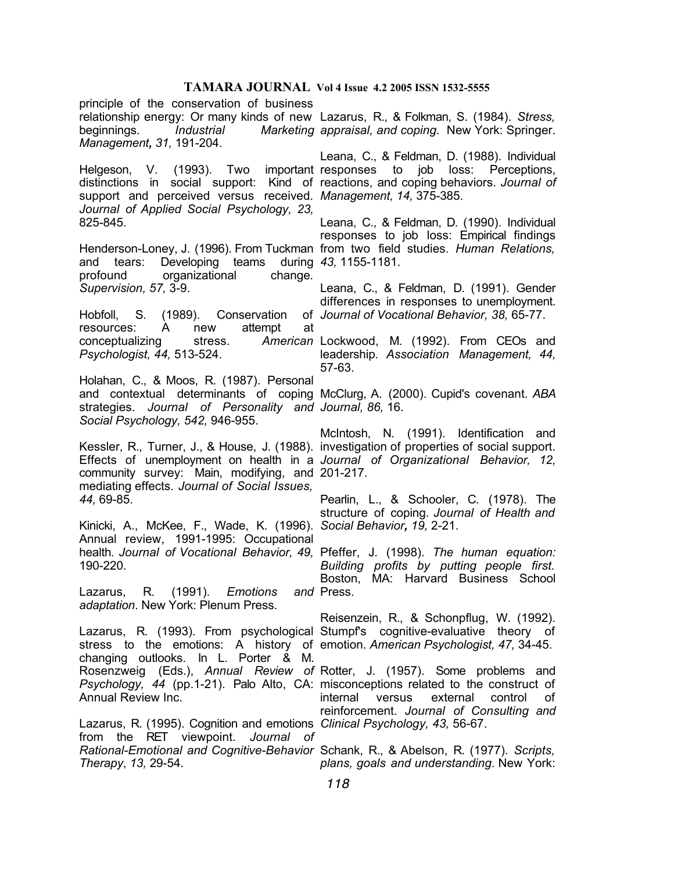principle of the conservation of business relationship energy: Or many kinds of new Lazarus, R., & Folkman, S. (1984). *Stress,*  beginnings. *Industrial Marketing appraisal, and coping*. New York: Springer. *Management, 31,* 191-204.

Helgeson, V. (1993). Two support and perceived versus received*. Management, 14,* 375-385. *Journal of Applied Social Psychology, 23,* 825-845.

and tears: Developing teams during *43,* 1155-1181. profound organizational change*. Supervision, 57,* 3-9.

Hobfoll, S. (1989). Conservation resources: A new attempt at conceptualizing stress. *Psychologist, 44,* 513-524.

Holahan, C., & Moos, R. (1987). Personal and contextual determinants of coping McClurg, A. (2000). Cupid's covenant. *ABA*  strategies. *Journal of Personality and Journal, 86,* 16. *Social Psychology, 542,* 946-955.

Kessler, R., Turner, J., & House, J. (1988). investigation of properties of social support. Effects of unemployment on health in a *Journal of Organizational Behavior, 12,*  community survey: Main, modifying, and 201-217. mediating effects. *Journal of Social Issues, 44,* 69-85.

Kinicki, A., McKee, F., Wade, K. (1996). *Social Behavior, 19,* 2-21. Annual review, 1991-1995: Occupational health*. Journal of Vocational Behavior, 49,*  Pfeffer, J. (1998). *The human equation:*  190-220.

Lazarus, R. (1991). *Emotions adaptation*. New York: Plenum Press.

stress to the emotions: A history of emotion. *American Psychologist, 47,* 34-45. changing outlooks. In L. Porter & M. Annual Review Inc.

Lazarus, R. (1995). Cognition and emotions *Clinical Psychology, 43,* 56-67. from the RET viewpoint. *Journal of*  Rational-Emotional and Cognitive-Behavior Schank, R., & Abelson, R. (1977). *Scripts, Therapy*, *13,* 29-54.

distinctions in social support: Kind of reactions, and coping behaviors. *Journal of*  Leana, C., & Feldman, D. (1988). Individual important responses to job loss: Perceptions,

Henderson-Loney, J. (1996). From Tuckman from two field studies. *Human Relations,*  Leana, C., & Feldman, D. (1990). Individual responses to job loss: Empirical findings

> Leana, C., & Feldman, D. (1991). Gender differences in responses to unemployment. *Journal of Vocational Behavior, 38,* 65-77.

American Lockwood, M. (1992). From CEOs and leadership*. Association Management, 44,*  57-63.

McIntosh, N. (1991). Identification and

Pearlin, L., & Schooler, C. (1978). The structure of coping. *Journal of Health and* 

*Building profits by putting people first.*  Boston, MA: Harvard Business School and Press.

Lazarus, R. (1993). From psychological Stumpf's cognitive-evaluative theory of Reisenzein, R., & Schonpflug, W. (1992).

Rosenzweig (Eds.), Annual Review of Rotter, J. (1957). Some problems and *Psychology, 44* (pp.1-21). Palo Alto, CA: misconceptions related to the construct of internal versus external control of reinforcement. *Journal of Consulting and* 

*plans, goals and understanding*. New York: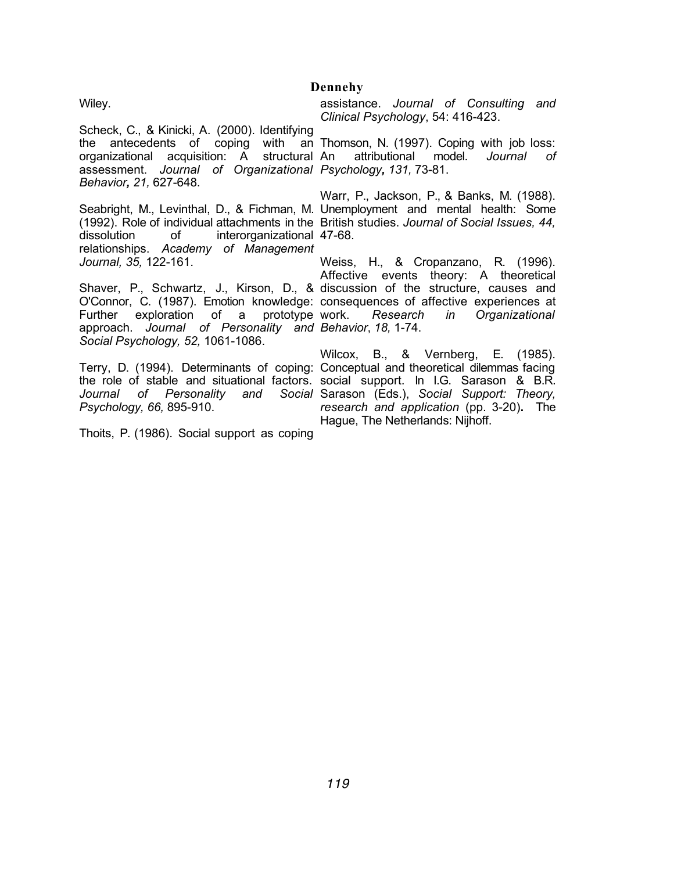Wiley.

## **Dennehy**

assistance. *Journal of Consulting and Clinical Psychology*, 54: 416-423.

Scheck, C., & Kinicki, A. (2000). Identifying the antecedents of coping with an Thomson, N. (1997). Coping with job loss: organizational acquisition: A structural An assessment. *Journal of Organizational Psychology, 131,* 73-81. *Behavior, 21,* 627-648.

Seabright, M., Levinthal, D., & Fichman, M. Unemployment and mental health: Some (1992). Role of individual attachments in the British studies. *Journal of Social Issues, 44,*  dissolution of interorganizational 47-68. relationships. *Academy of Management Journal, 35,* 122-161.

Shaver, P., Schwartz, J., Kirson, D., & discussion of the structure, causes and O'Connor, C. (1987). Emotion knowledge: consequences of affective experiences at Further exploration of a prototype work. approach. *Journal of Personality and Behavior*, *18,* 1-74. *Social Psychology, 52,* 1061-1086.

Terry, D. (1994). Determinants of coping: Conceptual and theoretical dilemmas facing *Psychology, 66,* 895-910.

Thoits, P. (1986). Social support as coping

An attributional model. *Journal of* 

Warr, P., Jackson, P., & Banks, M. (1988).

Weiss, H., & Cropanzano, R. (1996). Affective events theory: A theoretical work. *Research in Organizational* 

the role of stable and situational factors. social support. In I.G. Sarason & B.R. *Journal of Personality and Social*  Sarason (Eds.), *Social Support: Theory,*  Wilcox, B., & Vernberg, E. (1985). *research and application* (pp. 3-20)**.** The Hague, The Netherlands: Nijhoff.